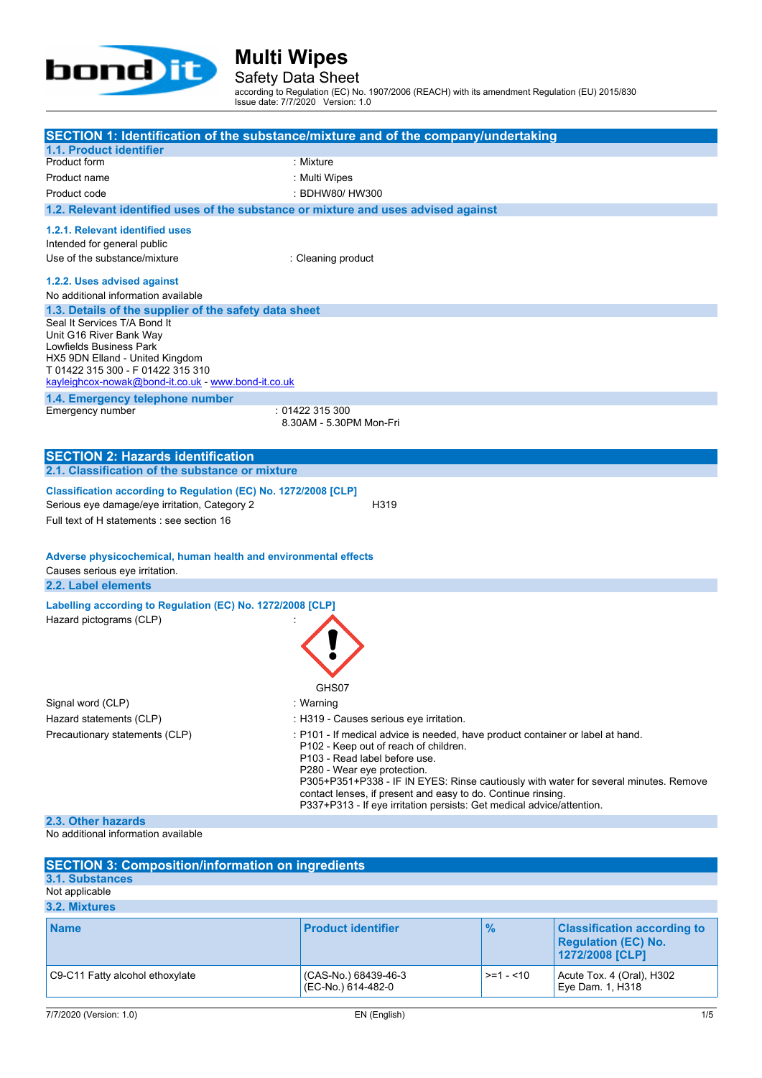

Safety Data Sheet

according to Regulation (EC) No. 1907/2006 (REACH) with its amendment Regulation (EU) 2015/830 Issue date: 7/7/2020 Version: 1.0

|                                                                                                                                                                                                                                                                     | SECTION 1: Identification of the substance/mixture and of the company/undertaking                                                                                                                                                                                                                                                                                                                                        |
|---------------------------------------------------------------------------------------------------------------------------------------------------------------------------------------------------------------------------------------------------------------------|--------------------------------------------------------------------------------------------------------------------------------------------------------------------------------------------------------------------------------------------------------------------------------------------------------------------------------------------------------------------------------------------------------------------------|
| 1.1. Product identifier                                                                                                                                                                                                                                             |                                                                                                                                                                                                                                                                                                                                                                                                                          |
| Product form                                                                                                                                                                                                                                                        | : Mixture                                                                                                                                                                                                                                                                                                                                                                                                                |
| Product name                                                                                                                                                                                                                                                        | : Multi Wipes                                                                                                                                                                                                                                                                                                                                                                                                            |
| Product code                                                                                                                                                                                                                                                        | : BDHW80/HW300                                                                                                                                                                                                                                                                                                                                                                                                           |
| 1.2. Relevant identified uses of the substance or mixture and uses advised against                                                                                                                                                                                  |                                                                                                                                                                                                                                                                                                                                                                                                                          |
|                                                                                                                                                                                                                                                                     |                                                                                                                                                                                                                                                                                                                                                                                                                          |
| 1.2.1. Relevant identified uses                                                                                                                                                                                                                                     |                                                                                                                                                                                                                                                                                                                                                                                                                          |
| Intended for general public                                                                                                                                                                                                                                         |                                                                                                                                                                                                                                                                                                                                                                                                                          |
| Use of the substance/mixture                                                                                                                                                                                                                                        | : Cleaning product                                                                                                                                                                                                                                                                                                                                                                                                       |
| 1.2.2. Uses advised against                                                                                                                                                                                                                                         |                                                                                                                                                                                                                                                                                                                                                                                                                          |
| No additional information available                                                                                                                                                                                                                                 |                                                                                                                                                                                                                                                                                                                                                                                                                          |
| 1.3. Details of the supplier of the safety data sheet                                                                                                                                                                                                               |                                                                                                                                                                                                                                                                                                                                                                                                                          |
| Seal It Services T/A Bond It<br>Unit G16 River Bank Way<br>Lowfields Business Park<br>HX5 9DN Elland - United Kingdom<br>T 01422 315 300 - F 01422 315 310<br>kayleighcox-nowak@bond-it.co.uk - www.bond-it.co.uk                                                   |                                                                                                                                                                                                                                                                                                                                                                                                                          |
| 1.4. Emergency telephone number                                                                                                                                                                                                                                     |                                                                                                                                                                                                                                                                                                                                                                                                                          |
| Emergency number                                                                                                                                                                                                                                                    | : 01422 315 300<br>8.30AM - 5.30PM Mon-Fri                                                                                                                                                                                                                                                                                                                                                                               |
| <b>SECTION 2: Hazards identification</b>                                                                                                                                                                                                                            |                                                                                                                                                                                                                                                                                                                                                                                                                          |
| 2.1. Classification of the substance or mixture                                                                                                                                                                                                                     |                                                                                                                                                                                                                                                                                                                                                                                                                          |
| Classification according to Regulation (EC) No. 1272/2008 [CLP]<br>Serious eye damage/eye irritation, Category 2<br>Full text of H statements : see section 16<br>Adverse physicochemical, human health and environmental effects<br>Causes serious eye irritation. | H319                                                                                                                                                                                                                                                                                                                                                                                                                     |
| 2.2. Label elements                                                                                                                                                                                                                                                 |                                                                                                                                                                                                                                                                                                                                                                                                                          |
| Labelling according to Regulation (EC) No. 1272/2008 [CLP]<br>Hazard pictograms (CLP)                                                                                                                                                                               | GHS07                                                                                                                                                                                                                                                                                                                                                                                                                    |
| Signal word (CLP)                                                                                                                                                                                                                                                   | : Warning                                                                                                                                                                                                                                                                                                                                                                                                                |
| Hazard statements (CLP)                                                                                                                                                                                                                                             | : H319 - Causes serious eye irritation.                                                                                                                                                                                                                                                                                                                                                                                  |
| Precautionary statements (CLP)                                                                                                                                                                                                                                      | : P101 - If medical advice is needed, have product container or label at hand.<br>P102 - Keep out of reach of children.<br>P103 - Read label before use.<br>P280 - Wear eye protection.<br>P305+P351+P338 - IF IN EYES: Rinse cautiously with water for several minutes. Remove<br>contact lenses, if present and easy to do. Continue rinsing.<br>P337+P313 - If eye irritation persists: Get medical advice/attention. |
| 2.3. Other hazards                                                                                                                                                                                                                                                  |                                                                                                                                                                                                                                                                                                                                                                                                                          |
| No additional information available                                                                                                                                                                                                                                 |                                                                                                                                                                                                                                                                                                                                                                                                                          |
|                                                                                                                                                                                                                                                                     |                                                                                                                                                                                                                                                                                                                                                                                                                          |
| <b>SECTION 3: Composition/information on ingredients</b><br>3.1. Substances                                                                                                                                                                                         |                                                                                                                                                                                                                                                                                                                                                                                                                          |
|                                                                                                                                                                                                                                                                     |                                                                                                                                                                                                                                                                                                                                                                                                                          |

Not applicable

| 3.2. Mixtures                   |                                            |               |                                                                                     |
|---------------------------------|--------------------------------------------|---------------|-------------------------------------------------------------------------------------|
| <b>Name</b>                     | <b>Product identifier</b>                  | $\frac{9}{6}$ | <b>Classification according to</b><br><b>Regulation (EC) No.</b><br>1272/2008 [CLP] |
| C9-C11 Fatty alcohol ethoxylate | (CAS-No.) 68439-46-3<br>(EC-No.) 614-482-0 | $>=1 - 10$    | Acute Tox. 4 (Oral), H302<br>Eye Dam. 1, H318                                       |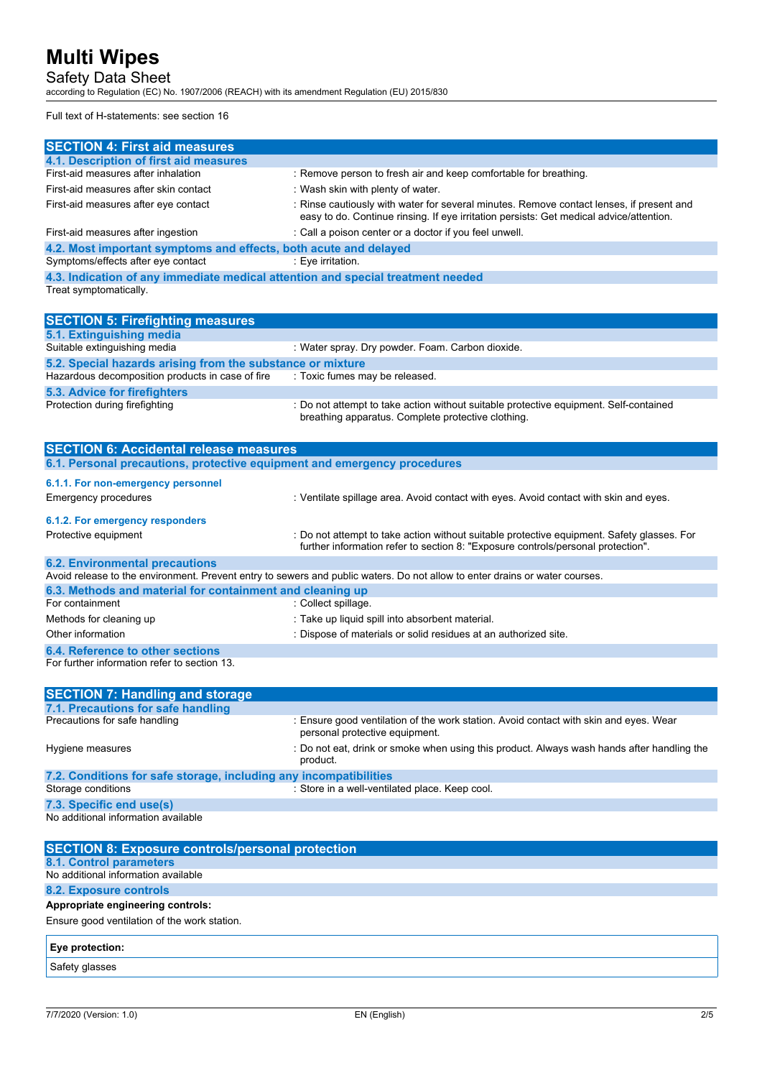Safety Data Sheet

according to Regulation (EC) No. 1907/2006 (REACH) with its amendment Regulation (EU) 2015/830

Full text of H-statements: see section 16

| 4.1. Description of first aid measures<br>First-aid measures after inhalation<br>: Remove person to fresh air and keep comfortable for breathing.<br>First-aid measures after skin contact<br>: Wash skin with plenty of water.<br>: Rinse cautiously with water for several minutes. Remove contact lenses, if present and<br>First-aid measures after eye contact<br>easy to do. Continue rinsing. If eye irritation persists: Get medical advice/attention.<br>: Call a poison center or a doctor if you feel unwell.<br>4.2. Most important symptoms and effects, both acute and delayed<br>Symptoms/effects after eye contact<br>: Eye irritation.<br>4.3. Indication of any immediate medical attention and special treatment needed<br>Suitable extinguishing media<br>: Water spray. Dry powder. Foam. Carbon dioxide.<br>5.2. Special hazards arising from the substance or mixture<br>: Toxic fumes may be released.<br>: Do not attempt to take action without suitable protective equipment. Self-contained<br>breathing apparatus. Complete protective clothing.<br><b>SECTION 6: Accidental release measures</b><br>6.1. Personal precautions, protective equipment and emergency procedures<br>6.1.1. For non-emergency personnel<br><b>Emergency procedures</b><br>: Ventilate spillage area. Avoid contact with eyes. Avoid contact with skin and eyes.<br>6.1.2. For emergency responders<br>: Do not attempt to take action without suitable protective equipment. Safety glasses. For<br>Protective equipment<br>further information refer to section 8: "Exposure controls/personal protection".<br>Avoid release to the environment. Prevent entry to sewers and public waters. Do not allow to enter drains or water courses.<br>6.3. Methods and material for containment and cleaning up<br>: Collect spillage.<br>: Take up liquid spill into absorbent material.<br>Other information<br>: Dispose of materials or solid residues at an authorized site. |                                                  |  |
|-------------------------------------------------------------------------------------------------------------------------------------------------------------------------------------------------------------------------------------------------------------------------------------------------------------------------------------------------------------------------------------------------------------------------------------------------------------------------------------------------------------------------------------------------------------------------------------------------------------------------------------------------------------------------------------------------------------------------------------------------------------------------------------------------------------------------------------------------------------------------------------------------------------------------------------------------------------------------------------------------------------------------------------------------------------------------------------------------------------------------------------------------------------------------------------------------------------------------------------------------------------------------------------------------------------------------------------------------------------------------------------------------------------------------------------------------------------------------------------------------------------------------------------------------------------------------------------------------------------------------------------------------------------------------------------------------------------------------------------------------------------------------------------------------------------------------------------------------------------------------------------------------------------------------------------------------------------------------------------|--------------------------------------------------|--|
|                                                                                                                                                                                                                                                                                                                                                                                                                                                                                                                                                                                                                                                                                                                                                                                                                                                                                                                                                                                                                                                                                                                                                                                                                                                                                                                                                                                                                                                                                                                                                                                                                                                                                                                                                                                                                                                                                                                                                                                     | <b>SECTION 4: First aid measures</b>             |  |
|                                                                                                                                                                                                                                                                                                                                                                                                                                                                                                                                                                                                                                                                                                                                                                                                                                                                                                                                                                                                                                                                                                                                                                                                                                                                                                                                                                                                                                                                                                                                                                                                                                                                                                                                                                                                                                                                                                                                                                                     |                                                  |  |
|                                                                                                                                                                                                                                                                                                                                                                                                                                                                                                                                                                                                                                                                                                                                                                                                                                                                                                                                                                                                                                                                                                                                                                                                                                                                                                                                                                                                                                                                                                                                                                                                                                                                                                                                                                                                                                                                                                                                                                                     |                                                  |  |
|                                                                                                                                                                                                                                                                                                                                                                                                                                                                                                                                                                                                                                                                                                                                                                                                                                                                                                                                                                                                                                                                                                                                                                                                                                                                                                                                                                                                                                                                                                                                                                                                                                                                                                                                                                                                                                                                                                                                                                                     |                                                  |  |
|                                                                                                                                                                                                                                                                                                                                                                                                                                                                                                                                                                                                                                                                                                                                                                                                                                                                                                                                                                                                                                                                                                                                                                                                                                                                                                                                                                                                                                                                                                                                                                                                                                                                                                                                                                                                                                                                                                                                                                                     |                                                  |  |
|                                                                                                                                                                                                                                                                                                                                                                                                                                                                                                                                                                                                                                                                                                                                                                                                                                                                                                                                                                                                                                                                                                                                                                                                                                                                                                                                                                                                                                                                                                                                                                                                                                                                                                                                                                                                                                                                                                                                                                                     | First-aid measures after ingestion               |  |
|                                                                                                                                                                                                                                                                                                                                                                                                                                                                                                                                                                                                                                                                                                                                                                                                                                                                                                                                                                                                                                                                                                                                                                                                                                                                                                                                                                                                                                                                                                                                                                                                                                                                                                                                                                                                                                                                                                                                                                                     |                                                  |  |
|                                                                                                                                                                                                                                                                                                                                                                                                                                                                                                                                                                                                                                                                                                                                                                                                                                                                                                                                                                                                                                                                                                                                                                                                                                                                                                                                                                                                                                                                                                                                                                                                                                                                                                                                                                                                                                                                                                                                                                                     |                                                  |  |
|                                                                                                                                                                                                                                                                                                                                                                                                                                                                                                                                                                                                                                                                                                                                                                                                                                                                                                                                                                                                                                                                                                                                                                                                                                                                                                                                                                                                                                                                                                                                                                                                                                                                                                                                                                                                                                                                                                                                                                                     |                                                  |  |
|                                                                                                                                                                                                                                                                                                                                                                                                                                                                                                                                                                                                                                                                                                                                                                                                                                                                                                                                                                                                                                                                                                                                                                                                                                                                                                                                                                                                                                                                                                                                                                                                                                                                                                                                                                                                                                                                                                                                                                                     | Treat symptomatically.                           |  |
|                                                                                                                                                                                                                                                                                                                                                                                                                                                                                                                                                                                                                                                                                                                                                                                                                                                                                                                                                                                                                                                                                                                                                                                                                                                                                                                                                                                                                                                                                                                                                                                                                                                                                                                                                                                                                                                                                                                                                                                     |                                                  |  |
|                                                                                                                                                                                                                                                                                                                                                                                                                                                                                                                                                                                                                                                                                                                                                                                                                                                                                                                                                                                                                                                                                                                                                                                                                                                                                                                                                                                                                                                                                                                                                                                                                                                                                                                                                                                                                                                                                                                                                                                     | <b>SECTION 5: Firefighting measures</b>          |  |
|                                                                                                                                                                                                                                                                                                                                                                                                                                                                                                                                                                                                                                                                                                                                                                                                                                                                                                                                                                                                                                                                                                                                                                                                                                                                                                                                                                                                                                                                                                                                                                                                                                                                                                                                                                                                                                                                                                                                                                                     | 5.1. Extinguishing media                         |  |
|                                                                                                                                                                                                                                                                                                                                                                                                                                                                                                                                                                                                                                                                                                                                                                                                                                                                                                                                                                                                                                                                                                                                                                                                                                                                                                                                                                                                                                                                                                                                                                                                                                                                                                                                                                                                                                                                                                                                                                                     |                                                  |  |
|                                                                                                                                                                                                                                                                                                                                                                                                                                                                                                                                                                                                                                                                                                                                                                                                                                                                                                                                                                                                                                                                                                                                                                                                                                                                                                                                                                                                                                                                                                                                                                                                                                                                                                                                                                                                                                                                                                                                                                                     |                                                  |  |
|                                                                                                                                                                                                                                                                                                                                                                                                                                                                                                                                                                                                                                                                                                                                                                                                                                                                                                                                                                                                                                                                                                                                                                                                                                                                                                                                                                                                                                                                                                                                                                                                                                                                                                                                                                                                                                                                                                                                                                                     | Hazardous decomposition products in case of fire |  |
|                                                                                                                                                                                                                                                                                                                                                                                                                                                                                                                                                                                                                                                                                                                                                                                                                                                                                                                                                                                                                                                                                                                                                                                                                                                                                                                                                                                                                                                                                                                                                                                                                                                                                                                                                                                                                                                                                                                                                                                     | 5.3. Advice for firefighters                     |  |
|                                                                                                                                                                                                                                                                                                                                                                                                                                                                                                                                                                                                                                                                                                                                                                                                                                                                                                                                                                                                                                                                                                                                                                                                                                                                                                                                                                                                                                                                                                                                                                                                                                                                                                                                                                                                                                                                                                                                                                                     | Protection during firefighting                   |  |
|                                                                                                                                                                                                                                                                                                                                                                                                                                                                                                                                                                                                                                                                                                                                                                                                                                                                                                                                                                                                                                                                                                                                                                                                                                                                                                                                                                                                                                                                                                                                                                                                                                                                                                                                                                                                                                                                                                                                                                                     |                                                  |  |
|                                                                                                                                                                                                                                                                                                                                                                                                                                                                                                                                                                                                                                                                                                                                                                                                                                                                                                                                                                                                                                                                                                                                                                                                                                                                                                                                                                                                                                                                                                                                                                                                                                                                                                                                                                                                                                                                                                                                                                                     |                                                  |  |
|                                                                                                                                                                                                                                                                                                                                                                                                                                                                                                                                                                                                                                                                                                                                                                                                                                                                                                                                                                                                                                                                                                                                                                                                                                                                                                                                                                                                                                                                                                                                                                                                                                                                                                                                                                                                                                                                                                                                                                                     |                                                  |  |
|                                                                                                                                                                                                                                                                                                                                                                                                                                                                                                                                                                                                                                                                                                                                                                                                                                                                                                                                                                                                                                                                                                                                                                                                                                                                                                                                                                                                                                                                                                                                                                                                                                                                                                                                                                                                                                                                                                                                                                                     |                                                  |  |
|                                                                                                                                                                                                                                                                                                                                                                                                                                                                                                                                                                                                                                                                                                                                                                                                                                                                                                                                                                                                                                                                                                                                                                                                                                                                                                                                                                                                                                                                                                                                                                                                                                                                                                                                                                                                                                                                                                                                                                                     |                                                  |  |
|                                                                                                                                                                                                                                                                                                                                                                                                                                                                                                                                                                                                                                                                                                                                                                                                                                                                                                                                                                                                                                                                                                                                                                                                                                                                                                                                                                                                                                                                                                                                                                                                                                                                                                                                                                                                                                                                                                                                                                                     |                                                  |  |
|                                                                                                                                                                                                                                                                                                                                                                                                                                                                                                                                                                                                                                                                                                                                                                                                                                                                                                                                                                                                                                                                                                                                                                                                                                                                                                                                                                                                                                                                                                                                                                                                                                                                                                                                                                                                                                                                                                                                                                                     |                                                  |  |
|                                                                                                                                                                                                                                                                                                                                                                                                                                                                                                                                                                                                                                                                                                                                                                                                                                                                                                                                                                                                                                                                                                                                                                                                                                                                                                                                                                                                                                                                                                                                                                                                                                                                                                                                                                                                                                                                                                                                                                                     |                                                  |  |
|                                                                                                                                                                                                                                                                                                                                                                                                                                                                                                                                                                                                                                                                                                                                                                                                                                                                                                                                                                                                                                                                                                                                                                                                                                                                                                                                                                                                                                                                                                                                                                                                                                                                                                                                                                                                                                                                                                                                                                                     | <b>6.2. Environmental precautions</b>            |  |
|                                                                                                                                                                                                                                                                                                                                                                                                                                                                                                                                                                                                                                                                                                                                                                                                                                                                                                                                                                                                                                                                                                                                                                                                                                                                                                                                                                                                                                                                                                                                                                                                                                                                                                                                                                                                                                                                                                                                                                                     |                                                  |  |
|                                                                                                                                                                                                                                                                                                                                                                                                                                                                                                                                                                                                                                                                                                                                                                                                                                                                                                                                                                                                                                                                                                                                                                                                                                                                                                                                                                                                                                                                                                                                                                                                                                                                                                                                                                                                                                                                                                                                                                                     |                                                  |  |
|                                                                                                                                                                                                                                                                                                                                                                                                                                                                                                                                                                                                                                                                                                                                                                                                                                                                                                                                                                                                                                                                                                                                                                                                                                                                                                                                                                                                                                                                                                                                                                                                                                                                                                                                                                                                                                                                                                                                                                                     | For containment                                  |  |
|                                                                                                                                                                                                                                                                                                                                                                                                                                                                                                                                                                                                                                                                                                                                                                                                                                                                                                                                                                                                                                                                                                                                                                                                                                                                                                                                                                                                                                                                                                                                                                                                                                                                                                                                                                                                                                                                                                                                                                                     | Methods for cleaning up                          |  |
|                                                                                                                                                                                                                                                                                                                                                                                                                                                                                                                                                                                                                                                                                                                                                                                                                                                                                                                                                                                                                                                                                                                                                                                                                                                                                                                                                                                                                                                                                                                                                                                                                                                                                                                                                                                                                                                                                                                                                                                     |                                                  |  |
|                                                                                                                                                                                                                                                                                                                                                                                                                                                                                                                                                                                                                                                                                                                                                                                                                                                                                                                                                                                                                                                                                                                                                                                                                                                                                                                                                                                                                                                                                                                                                                                                                                                                                                                                                                                                                                                                                                                                                                                     | 6.4. Reference to other sections                 |  |
| For further information refer to section 13.                                                                                                                                                                                                                                                                                                                                                                                                                                                                                                                                                                                                                                                                                                                                                                                                                                                                                                                                                                                                                                                                                                                                                                                                                                                                                                                                                                                                                                                                                                                                                                                                                                                                                                                                                                                                                                                                                                                                        |                                                  |  |

| <b>SECTION 7: Handling and storage</b>                            |                                                                                                                         |
|-------------------------------------------------------------------|-------------------------------------------------------------------------------------------------------------------------|
| 7.1. Precautions for safe handling                                |                                                                                                                         |
| Precautions for safe handling                                     | : Ensure good ventilation of the work station. Avoid contact with skin and eyes. Wear<br>personal protective equipment. |
| Hygiene measures                                                  | : Do not eat, drink or smoke when using this product. Always wash hands after handling the<br>product.                  |
| 7.2. Conditions for safe storage, including any incompatibilities |                                                                                                                         |
| Storage conditions                                                | : Store in a well-ventilated place. Keep cool.                                                                          |
| 7.3. Specific end use(s)                                          |                                                                                                                         |
| No additional information available                               |                                                                                                                         |

| <b>SECTION 8: Exposure controls/personal protection</b> |  |
|---------------------------------------------------------|--|
| 8.1. Control parameters                                 |  |
| No additional information available                     |  |
| 8.2. Exposure controls                                  |  |
| Appropriate engineering controls:                       |  |
| Ensure good ventilation of the work station.            |  |
| <b>Eye protection:</b>                                  |  |

Safety glasses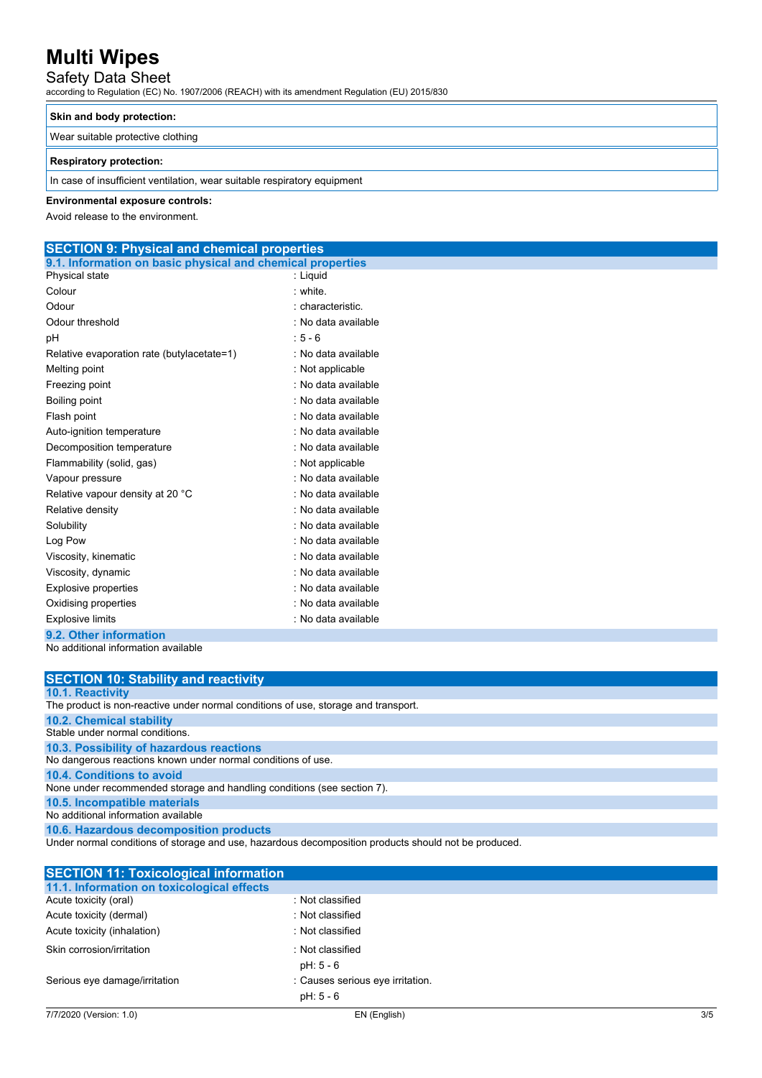## Safety Data Sheet

according to Regulation (EC) No. 1907/2006 (REACH) with its amendment Regulation (EU) 2015/830

### **Skin and body protection:**

Wear suitable protective clothing

### **Respiratory protection:**

In case of insufficient ventilation, wear suitable respiratory equipment

### **Environmental exposure controls:**

Avoid release to the environment.

#### **SECTION 9: Physical and chemical properties 9.1. Information on basic physical and chemical properties**

| : Liguid            |
|---------------------|
| white               |
| : characteristic.   |
| : No data available |
| $: 5 - 6$           |
| : No data available |
| : Not applicable    |
| : No data available |
| : No data available |
| : No data available |
| : No data available |
| : No data available |
| : Not applicable    |
| : No data available |
| : No data available |
| : No data available |
| : No data available |
| : No data available |
| : No data available |
| : No data available |
| : No data available |
| : No data available |
| : No data available |
|                     |
|                     |

No additional information available

| <b>SECTION 10: Stability and reactivity</b>                                                          |
|------------------------------------------------------------------------------------------------------|
| 10.1. Reactivity                                                                                     |
| The product is non-reactive under normal conditions of use, storage and transport.                   |
| <b>10.2. Chemical stability</b>                                                                      |
| Stable under normal conditions.                                                                      |
| 10.3. Possibility of hazardous reactions                                                             |
| No dangerous reactions known under normal conditions of use.                                         |
| 10.4. Conditions to avoid                                                                            |
| None under recommended storage and handling conditions (see section 7).                              |
| 10.5. Incompatible materials                                                                         |
| No additional information available                                                                  |
| 10.6. Hazardous decomposition products                                                               |
| Under normal conditions of storage and use, hazardous decomposition products should not be produced. |

| <b>SECTION 11: Toxicological information</b> |                                  |     |
|----------------------------------------------|----------------------------------|-----|
| 11.1. Information on toxicological effects   |                                  |     |
| Acute toxicity (oral)                        | : Not classified                 |     |
| Acute toxicity (dermal)                      | : Not classified                 |     |
| Acute toxicity (inhalation)                  | : Not classified                 |     |
| Skin corrosion/irritation                    | : Not classified                 |     |
|                                              | pH: 5 - 6                        |     |
| Serious eye damage/irritation                | : Causes serious eye irritation. |     |
|                                              | pH: 5 - 6                        |     |
| 7/7/2020 (Version: 1.0)                      | EN (English)                     | 3/5 |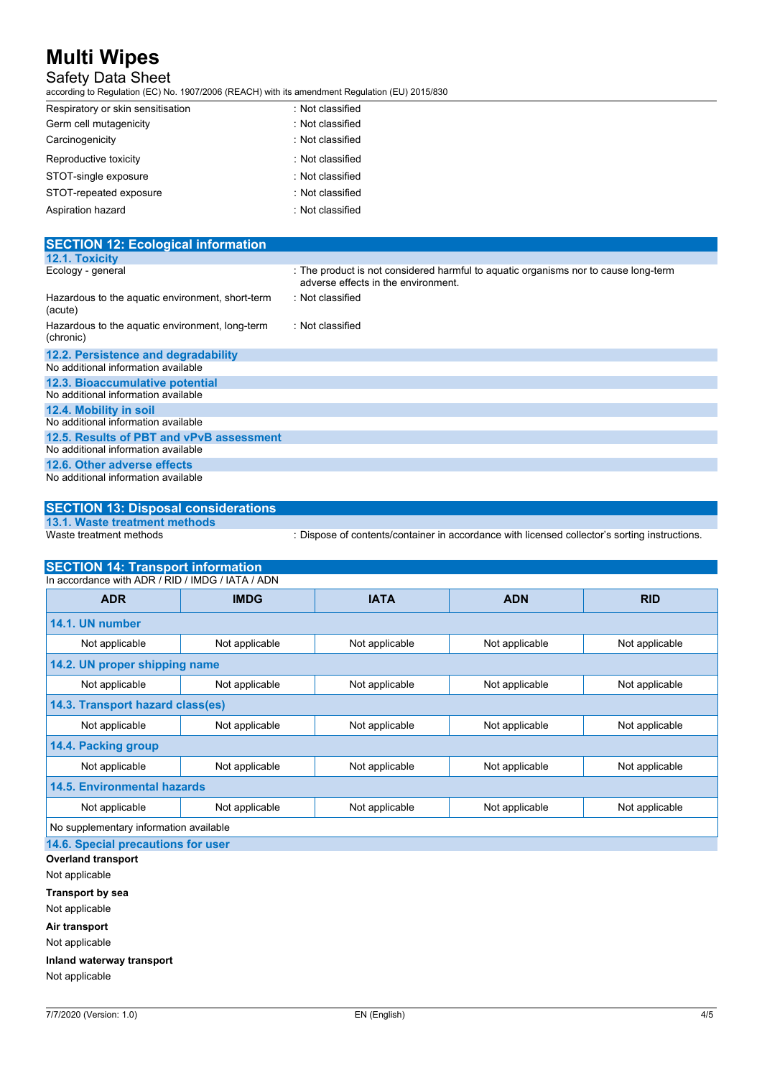## Safety Data Sheet

according to Regulation (EC) No. 1907/2006 (REACH) with its amendment Regulation (EU) 2015/830

| Respiratory or skin sensitisation | : Not classified |
|-----------------------------------|------------------|
| Germ cell mutagenicity            | : Not classified |
| Carcinogenicity                   | : Not classified |
| Reproductive toxicity             | : Not classified |
| STOT-single exposure              | : Not classified |
| STOT-repeated exposure            | : Not classified |
| Aspiration hazard                 | : Not classified |

| <b>SECTION 12: Ecological information</b>                    |                                                                                                                            |
|--------------------------------------------------------------|----------------------------------------------------------------------------------------------------------------------------|
| <b>12.1. Toxicity</b>                                        |                                                                                                                            |
| Ecology - general                                            | : The product is not considered harmful to aquatic organisms nor to cause long-term<br>adverse effects in the environment. |
| Hazardous to the aquatic environment, short-term<br>(acute)  | : Not classified                                                                                                           |
| Hazardous to the aquatic environment, long-term<br>(chronic) | : Not classified                                                                                                           |
| 12.2. Persistence and degradability                          |                                                                                                                            |
| No additional information available                          |                                                                                                                            |
| 12.3. Bioaccumulative potential                              |                                                                                                                            |
| No additional information available                          |                                                                                                                            |
| 12.4. Mobility in soil                                       |                                                                                                                            |
| No additional information available                          |                                                                                                                            |
| 12.5. Results of PBT and vPvB assessment                     |                                                                                                                            |
| No additional information available                          |                                                                                                                            |
| 12.6. Other adverse effects                                  |                                                                                                                            |
| No additional information available                          |                                                                                                                            |

### **SECTION 13: Disposal considerations 13.1. Waste treatment methods**

Waste treatment methods : Dispose of contents/container in accordance with licensed collector's sorting instructions.

| <b>SECTION 14: Transport information</b>         |                |                |                |                |
|--------------------------------------------------|----------------|----------------|----------------|----------------|
| In accordance with ADR / RID / IMDG / IATA / ADN |                |                |                |                |
| <b>ADR</b>                                       | <b>IMDG</b>    | <b>IATA</b>    | <b>ADN</b>     | <b>RID</b>     |
| 14.1. UN number                                  |                |                |                |                |
| Not applicable                                   | Not applicable | Not applicable | Not applicable | Not applicable |
| 14.2. UN proper shipping name                    |                |                |                |                |
| Not applicable                                   | Not applicable | Not applicable | Not applicable | Not applicable |
| 14.3. Transport hazard class(es)                 |                |                |                |                |
| Not applicable                                   | Not applicable | Not applicable | Not applicable | Not applicable |
| 14.4. Packing group                              |                |                |                |                |
| Not applicable                                   | Not applicable | Not applicable | Not applicable | Not applicable |
| <b>14.5. Environmental hazards</b>               |                |                |                |                |
| Not applicable                                   | Not applicable | Not applicable | Not applicable | Not applicable |
| No supplementary information available           |                |                |                |                |

**14.6. Special precautions for user**

**Overland transport** Not applicable **Transport by sea**

Not applicable

**Air transport**

Not applicable

**Inland waterway transport**

Not applicable